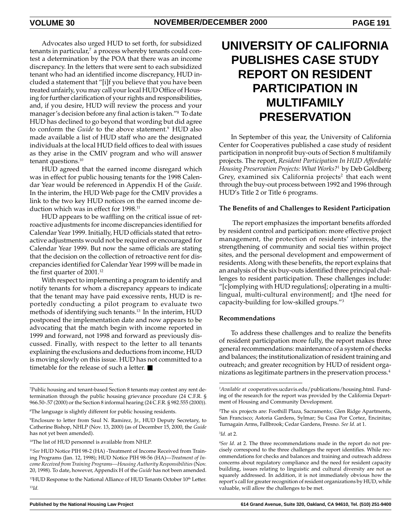Advocates also urged HUD to set forth, for subsidized tenants in particular,<sup>7</sup> a process whereby tenants could contest a determination by the POA that there was an income discrepancy. In the letters that were sent to each subsidized tenant who had an identified income discrepancy, HUD included a statement that "[i]f you believe that you have been treated unfairly, you may call your local HUD Office of Housing for further clarification of your rights and responsibilities, and, if you desire, HUD will review the process and your manager's decision before any final action is taken."8 To date HUD has declined to go beyond that wording but did agree to conform the *Guide* to the above statement.9 HUD also made available a list of HUD staff who are the designated individuals at the local HUD field offices to deal with issues as they arise in the CMIV program and who will answer tenant questions.<sup>10</sup>

HUD agreed that the earned income disregard which was in effect for public housing tenants for the 1998 Calendar Year would be referenced in Appendix H of the *Guide*. In the interim, the HUD Web page for the CMIV provides a link to the two key HUD notices on the earned income deduction which was in effect for 1998.<sup>11</sup>

HUD appears to be waffling on the critical issue of retroactive adjustments for income discrepancies identified for Calendar Year 1999. Initially, HUD officials stated that retroactive adjustments would not be required or encouraged for Calendar Year 1999. But now the same officials are stating that the decision on the collection of retroactive rent for discrepancies identified for Calendar Year 1999 will be made in the first quarter of 2001.<sup>12</sup>

With respect to implementing a program to identify and notify tenants for whom a discrepancy appears to indicate that the tenant may have paid excessive rents, HUD is reportedly conducting a pilot program to evaluate two methods of identifying such tenants.<sup>13</sup> In the interim, HUD postponed the implementation date and now appears to be advocating that the match begin with income reported in 1999 and forward, not 1998 and forward as previously discussed. Finally, with respect to the letter to all tenants explaining the exclusions and deductions from income, HUD is moving slowly on this issue. HUD has not committed to a timetable for the release of such a letter. ■

# **UNIVERSITY OF CALIFORNIA PUBLISHES CASE STUDY REPORT ON RESIDENT PARTICIPATION IN MULTIFAMILY PRESERVATION**

In September of this year, the University of California Center for Cooperatives published a case study of resident participation in nonprofit buy-outs of Section 8 multifamily projects. The report, *Resident Participation In HUD Affordable Housing Preservation Projects: What Works?*1 by Deb Goldberg Grey, examined six California projects<sup>2</sup> that each went through the buy-out process between 1992 and 1996 through HUD's Title 2 or Title 6 programs.

### **The Benefits of and Challenges to Resident Participation**

 The report emphasizes the important benefits afforded by resident control and participation: more effective project management, the protection of residents' interests, the strengthening of community and social ties within project sites, and the personal development and empowerment of residents. Along with these benefits, the report explains that an analysis of the six buy-outs identified three principal challenges to resident participation. These challenges include: "[c]omplying with HUD regulations[; o]perating in a multilingual, multi-cultural environment[; and t]he need for capacity-building for low-skilled groups."3

### **Recommendations**

To address these challenges and to realize the benefits of resident participation more fully, the report makes three general recommendations: maintenance of a system of checks and balances; the institutionalization of resident training and outreach; and greater recognition by HUD of resident organizations as legitimate partners in the preservation process.4

3 *Id*. at 2.

<sup>7</sup> Public housing and tenant-based Section 8 tenants may contest any rent determination through the public housing grievance procedure (24 C.F.R. § 966.50-.57 (2000) or the Section 8 informal hearing (24 C.F.R. § 982.555 (2000)).

<sup>8</sup> The language is slightly different for public housing residents.

<sup>9</sup> Enclosure to letter from Saul N. Ramirez, Jr., HUD Deputy Secretary, to Catherine Bishop, NHLP (Nov. 13, 2000) (as of December 15, 2000, the *Guide* has not yet been amended).

<sup>10</sup>The list of HUD personnel is available from NHLP.

<sup>11</sup>*See* HUD Notice PIH 98-2 (HA) -Treatment of Income Received from Training Programs (Jan. 12, 1998); HUD Notice PIH 98-56 (HA)—*Treatment of Income Received from Training Programs—Housing Authority Responsibilities* (Nov. 20, 1998). To date, however, Appendix H of the *Guide* has not been amended.

<sup>&</sup>lt;sup>12</sup>HUD Response to the National Alliance of HUD Tenants October 10<sup>th</sup> Letter. 13*Id.*

*<sup>1</sup> Available at* cooperatives.ucdavis.edu/publications/housing.html. Funding of the research for the report was provided by the California Department of Housing and Community Development.

<sup>2</sup> The six projects are: Foothill Plaza, Sacramento; Glen Ridge Apartments, San Francisco; Astoria Gardens, Sylmar; Su Casa Por Cortez, Encinitas; Turnagain Arms, Fallbrook; Cedar Gardens, Fresno. *See Id*. at 1.

<sup>4</sup> *See Id*. at 2. The three recommendations made in the report do not precisely correspond to the three challenges the report identifies. While recommendations for checks and balances and training and outreach address concerns about regulatory compliance and the need for resident capacity building, issues relating to linguistic and cultural diversity are not as squarely addressed. In addition, it is not immediately obvious how the report's call for greater recognition of resident organizations by HUD, while valuable, will allow the challenges to be met.